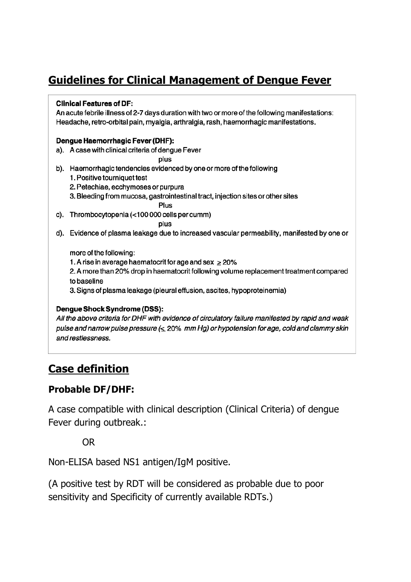# Guidelines for Clinical Management of Dengue Fever

#### **Clinical Features of DF:**

An acute febrile illness of 2-7 days duration with two or more of the following manifestations: Headache, retro-orbital pain, myalgia, arthralgia, rash, haemorrhagic manifestations.

#### Dengue Haemorrhagic Fever (DHF):

a). A case with clinical criteria of dengue Fever

plus

- b). Haemorrhagic tendencies evidenced by one or more of the following
	- 1. Positive tourniquet test
	- 2. Petechiae, ecchymoses or purpura
	- 3. Bleeding from mucosa, gastrointestinal tract, injection sites or other sites

Plus

c). Thrombocytopenia (<100 000 cells per cumm)

plus

d). Evidence of plasma leakage due to increased vascular permeability, manifested by one or

more of the following:

- 1. A rise in average haematocrit for age and sex  $\geq$  20%
- 2. A more than 20% drop in haematocrit following volume replacement treatment compared to baseline

3. Signs of plasma leakage (pleural effusion, ascites, hypoproteinemia)

#### Dengue Shock Syndrome (DSS):

All the above criteria for DHF with evidence of circulatory failure manifested by rapid and weak pulse and narrow pulse pressure  $( $20\%$  mm Hg) or hypotension for age, cold and clammy skin$ and restlessness.

# Case definition

## Probable DF/DHF:

A case compatible with clinical description (Clinical Criteria) of dengue Fever during outbreak.:

OR

Non-ELISA based NS1 antigen/IgM positive.

(A positive test by RDT will be considered as probable due to poor sensitivity and Specificity of currently available RDTs.)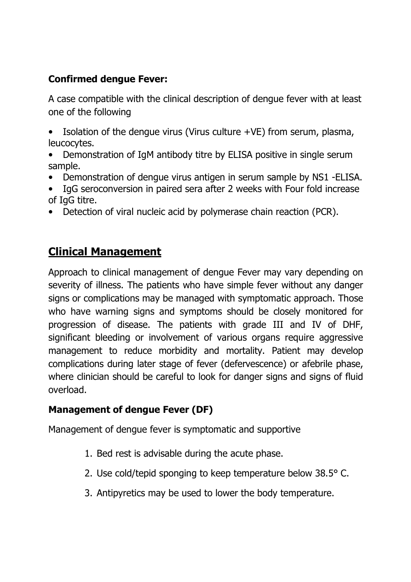## Confirmed dengue Fever:

A case compatible with the clinical description of dengue fever with at least one of the following

- Isolation of the dengue virus (Virus culture +VE) from serum, plasma, leucocytes.
- Demonstration of IgM antibody titre by ELISA positive in single serum sample.
- Demonstration of dengue virus antigen in serum sample by NS1 -ELISA.
- IgG seroconversion in paired sera after 2 weeks with Four fold increase of IgG titre.
- Detection of viral nucleic acid by polymerase chain reaction (PCR).

## Clinical Management

Approach to clinical management of dengue Fever may vary depending on severity of illness. The patients who have simple fever without any danger signs or complications may be managed with symptomatic approach. Those who have warning signs and symptoms should be closely monitored for progression of disease. The patients with grade III and IV of DHF, significant bleeding or involvement of various organs require aggressive management to reduce morbidity and mortality. Patient may develop complications during later stage of fever (defervescence) or afebrile phase, where clinician should be careful to look for danger signs and signs of fluid overload.

## Management of dengue Fever (DF)

Management of dengue fever is symptomatic and supportive

- 1. Bed rest is advisable during the acute phase.
- 2. Use cold/tepid sponging to keep temperature below 38.5° C.
- 3. Antipyretics may be used to lower the body temperature.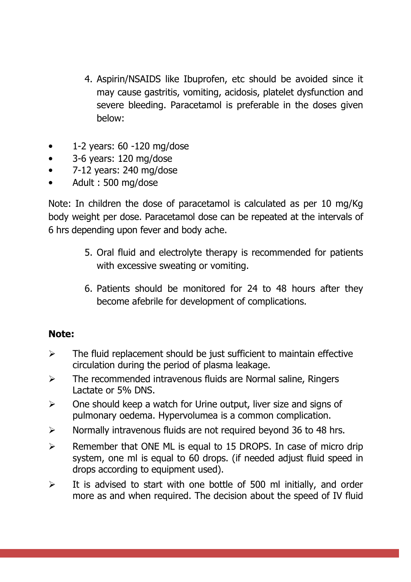- 4. Aspirin/NSAIDS like Ibuprofen, etc should be avoided since it may cause gastritis, vomiting, acidosis, platelet dysfunction and severe bleeding. Paracetamol is preferable in the doses given below:
- $\bullet$  1-2 years: 60 -120 mg/dose
- 3-6 years: 120 mg/dose
- 7-12 years: 240 mg/dose
- Adult : 500 mg/dose

Note: In children the dose of paracetamol is calculated as per 10 mg/Kg body weight per dose. Paracetamol dose can be repeated at the intervals of 6 hrs depending upon fever and body ache.

- 5. Oral fluid and electrolyte therapy is recommended for patients with excessive sweating or vomiting.
- 6. Patients should be monitored for 24 to 48 hours after they become afebrile for development of complications.

## Note:

- $\triangleright$  The fluid replacement should be just sufficient to maintain effective circulation during the period of plasma leakage.
- $\triangleright$  The recommended intravenous fluids are Normal saline, Ringers Lactate or 5% DNS.
- $\triangleright$  One should keep a watch for Urine output, liver size and signs of pulmonary oedema. Hypervolumea is a common complication.
- $\triangleright$  Normally intravenous fluids are not required beyond 36 to 48 hrs.
- $\triangleright$  Remember that ONE ML is equal to 15 DROPS. In case of micro drip system, one ml is equal to 60 drops. (if needed adjust fluid speed in drops according to equipment used).
- $\triangleright$  It is advised to start with one bottle of 500 ml initially, and order more as and when required. The decision about the speed of IV fluid